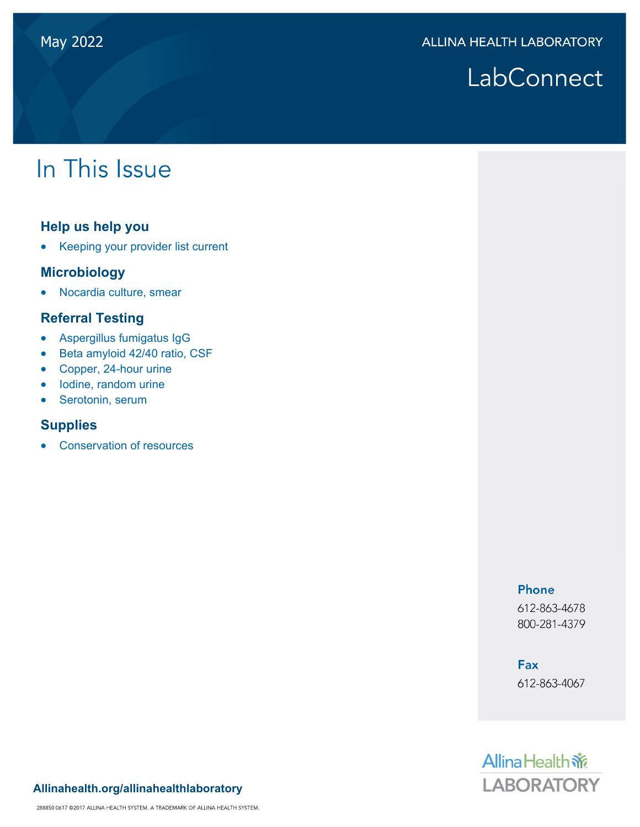# LabConnect

# In This Issue

#### **Help us help you**

• Keeping your provider list current

#### **Microbiology**

Nocardia culture, smear

### **Referral Testing**

- Aspergillus fumigatus IgG
- Beta amyloid 42/40 ratio, CSF
- Copper, 24-hour urine
- lodine, random urine
- Serotonin, serum

#### **Supplies**

Conservation of resources

#### Phone

612-863-4678 800-281-4379

## **Fax**

612-863-4067



#### **Allinahealth.org/allinahealthlaboratory**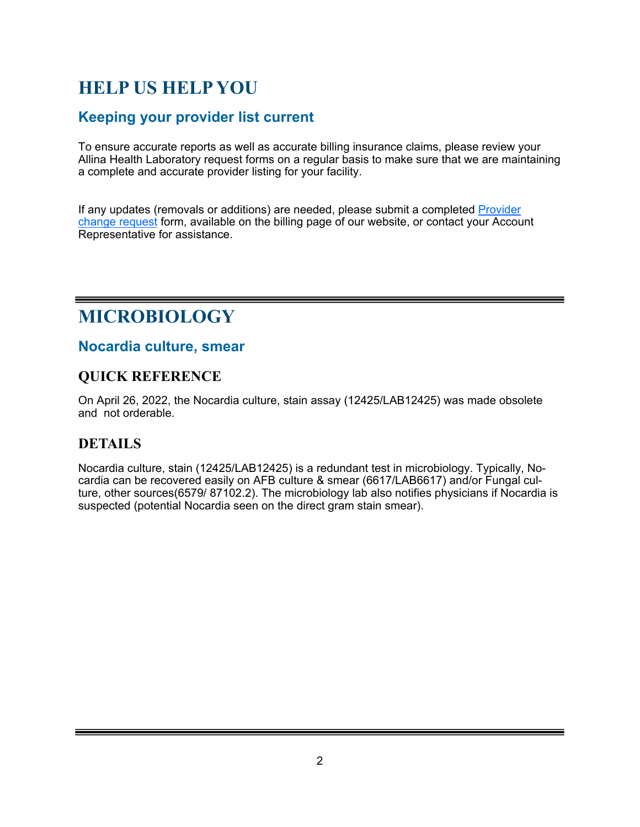## **HELP US HELP YOU**

## **Keeping your provider list current**

To ensure accurate reports as well as accurate billing insurance claims, please review your Allina Health Laboratory request forms on a regular basis to make sure that we are maintaining a complete and accurate provider listing for your facility.

If any updates (removals or additions) are needed, please submit a completed Provider change request form, available on the billing page of our website, or contact your Account Representative for assistance.

## **MICROBIOLOGY**

#### **Nocardia culture, smear**

### **QUICK REFERENCE**

On April 26, 2022, the Nocardia culture, stain assay (12425/LAB12425) was made obsolete and not orderable.

## **DETAILS**

Nocardia culture, stain (12425/LAB12425) is a redundant test in microbiology. Typically, Nocardia can be recovered easily on AFB culture & smear (6617/LAB6617) and/or Fungal culture, other sources(6579/ 87102.2). The microbiology lab also notifies physicians if Nocardia is suspected (potential Nocardia seen on the direct gram stain smear).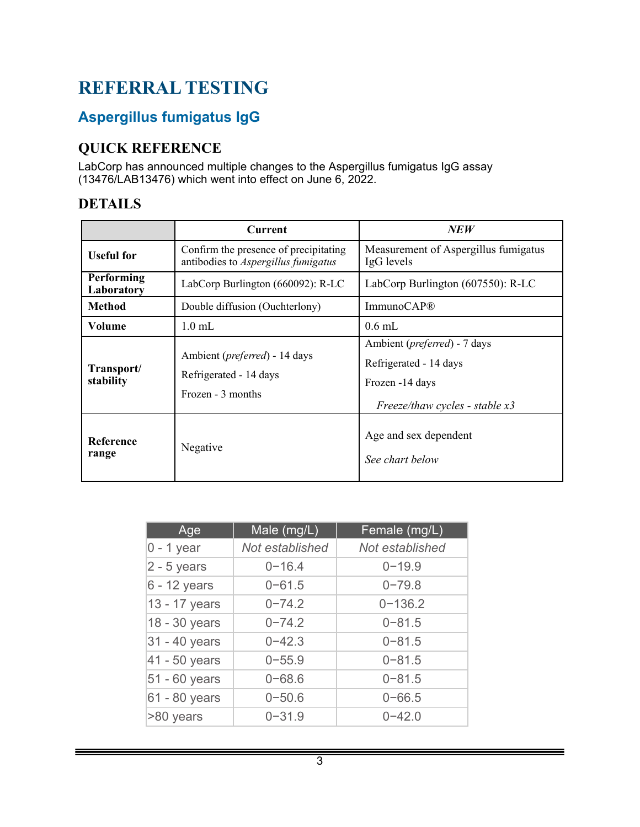## **REFERRAL TESTING**

## **Aspergillus fumigatus IgG**

## **QUICK REFERENCE**

LabCorp has announced multiple changes to the Aspergillus fumigatus IgG assay (13476/LAB13476) which went into effect on June 6, 2022.

## **DETAILS**

|                                 | <b>Current</b>                                                               | <b>NEW</b>                                                                                                    |
|---------------------------------|------------------------------------------------------------------------------|---------------------------------------------------------------------------------------------------------------|
| <b>Useful for</b>               | Confirm the presence of precipitating<br>antibodies to Aspergillus fumigatus | Measurement of Aspergillus fumigatus<br>IgG levels                                                            |
| <b>Performing</b><br>Laboratory | LabCorp Burlington (660092): R-LC                                            | LabCorp Burlington (607550): R-LC                                                                             |
| <b>Method</b>                   | Double diffusion (Ouchterlony)                                               | Immuno $CAP@$                                                                                                 |
| Volume                          | $1.0$ mL                                                                     | $0.6$ mL                                                                                                      |
| Transport/<br>stability         | Ambient (preferred) - 14 days<br>Refrigerated - 14 days<br>Frozen - 3 months | Ambient (preferred) - 7 days<br>Refrigerated - 14 days<br>Frozen -14 days<br>Freeze/thaw cycles - stable $x3$ |
| Reference<br>range              | Negative                                                                     | Age and sex dependent<br>See chart below                                                                      |

| Age           | Male (mg/L)     | Female (mg/L)   |
|---------------|-----------------|-----------------|
| $0 - 1$ year  | Not established | Not established |
| $2 - 5$ years | $0 - 16.4$      | $0 - 19.9$      |
| 6 - 12 years  | $0 - 61.5$      | $0 - 79.8$      |
| 13 - 17 years | $0 - 74.2$      | $0 - 136.2$     |
| 18 - 30 years | $0 - 74.2$      | $0 - 81.5$      |
| 31 - 40 years | $0 - 42.3$      | $0 - 81.5$      |
| 41 - 50 years | $0 - 55.9$      | $0 - 81.5$      |
| 51 - 60 years | $0 - 68.6$      | $0 - 81.5$      |
| 61 - 80 years | $0 - 50.6$      | $0 - 66.5$      |
| >80 years     | $0 - 31.9$      | $0 - 42.0$      |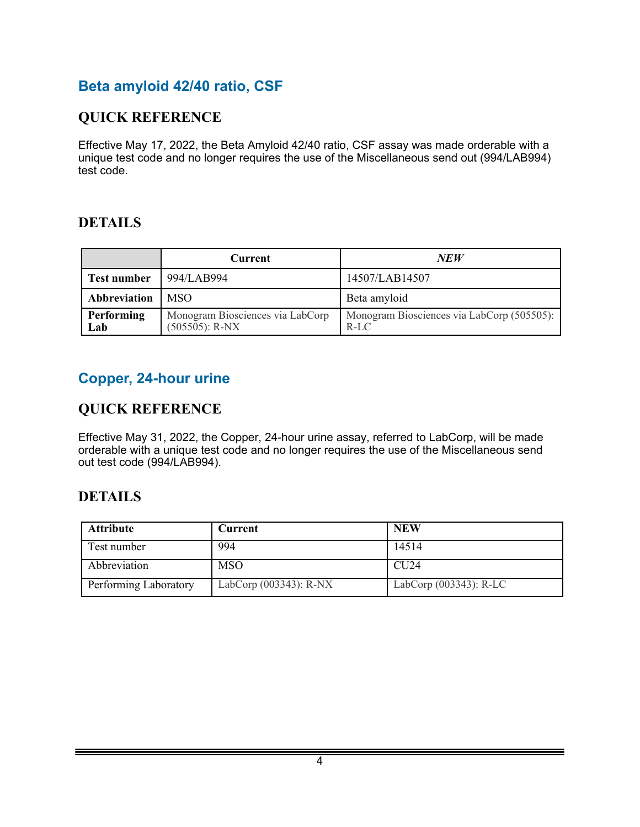## **Beta amyloid 42/40 ratio, CSF**

## **QUICK REFERENCE**

Effective May 17, 2022, the Beta Amyloid 42/40 ratio, CSF assay was made orderable with a unique test code and no longer requires the use of the Miscellaneous send out (994/LAB994) test code.

## **DETAILS**

|                    | <b>Current</b>                                        | NEW                                                  |
|--------------------|-------------------------------------------------------|------------------------------------------------------|
| <b>Test number</b> | 994/LAB994                                            | 14507/LAB14507                                       |
| Abbreviation       | <b>MSO</b>                                            | Beta amyloid                                         |
| Performing<br>Lab  | Monogram Biosciences via LabCorp<br>$(505505)$ : R-NX | Monogram Biosciences via LabCorp (505505):<br>$R-LC$ |

## **Copper, 24-hour urine**

## **QUICK REFERENCE**

Effective May 31, 2022, the Copper, 24-hour urine assay, referred to LabCorp, will be made orderable with a unique test code and no longer requires the use of the Miscellaneous send out test code (994/LAB994).

### **DETAILS**

| <b>Attribute</b>      | Current                   | <b>NEW</b>                |
|-----------------------|---------------------------|---------------------------|
| Test number           | 994                       | 14514                     |
| Abbreviation          | <b>MSO</b>                | CIJ24                     |
| Performing Laboratory | LabCorp $(003343)$ : R-NX | LabCorp $(003343)$ : R-LC |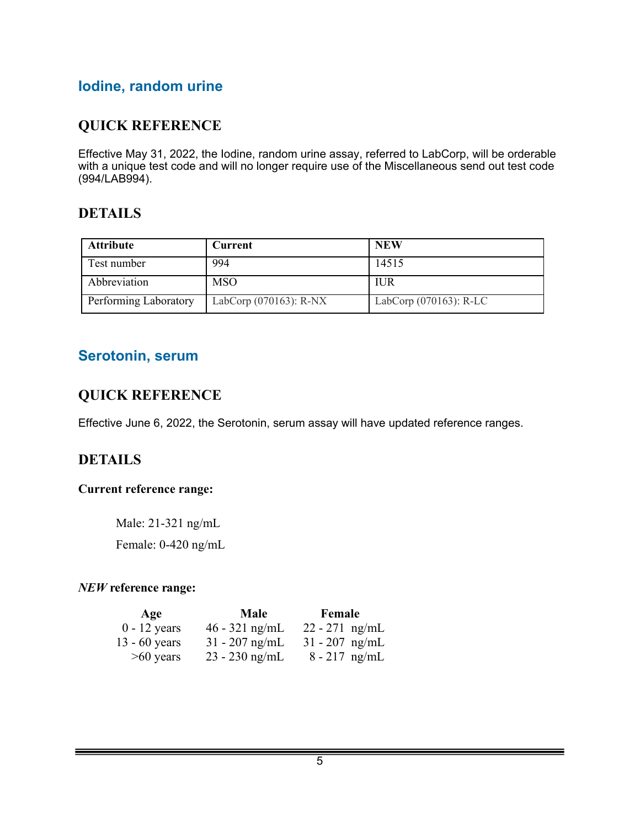## **Iodine, random urine**

### **QUICK REFERENCE**

Effective May 31, 2022, the Iodine, random urine assay, referred to LabCorp, will be orderable with a unique test code and will no longer require use of the Miscellaneous send out test code (994/LAB994).

#### **DETAILS**

| <b>Attribute</b>      | <b>Current</b>         | <b>NEW</b>                |
|-----------------------|------------------------|---------------------------|
| Test number           | 994                    | 14515                     |
| Abbreviation          | <b>MSO</b>             | <b>IUR</b>                |
| Performing Laboratory | LabCorp (070163): R-NX | LabCorp $(070163)$ : R-LC |

#### **Serotonin, serum**

#### **QUICK REFERENCE**

Effective June 6, 2022, the Serotonin, serum assay will have updated reference ranges.

#### **DETAILS**

#### **Current reference range:**

Male: 21-321 ng/mL Female: 0-420 ng/mL

#### *NEW* **reference range:**

| Age             | Male             | Female           |
|-----------------|------------------|------------------|
| $0 - 12$ years  | $46 - 321$ ng/mL | $22 - 271$ ng/mL |
| $13 - 60$ years | $31 - 207$ ng/mL | $31 - 207$ ng/mL |
| $>60$ years     | $23 - 230$ ng/mL | $8 - 217$ ng/mL  |